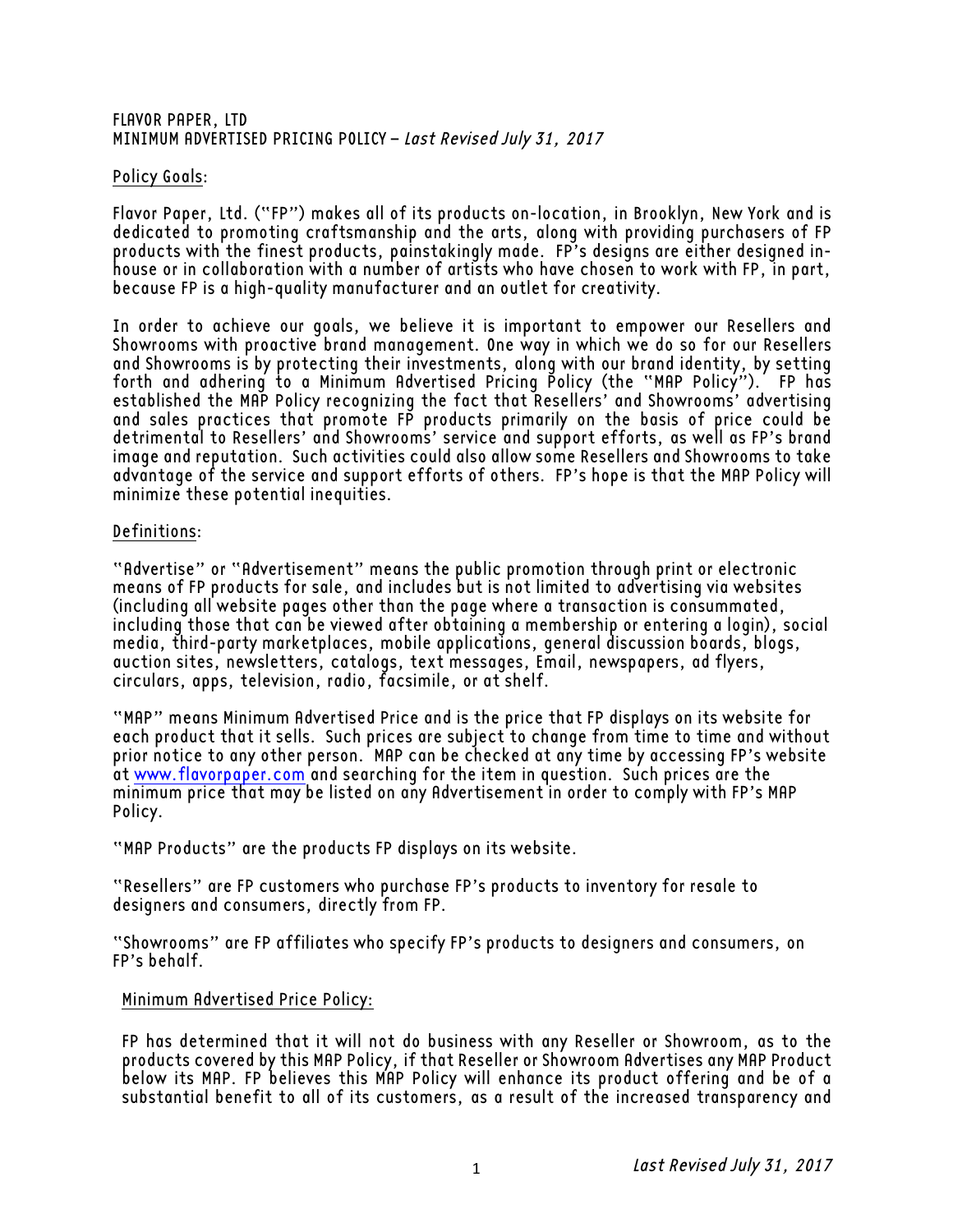#### FLAVOR PAPER, LTD MINIMUM ADVERTISED PRICING POLICY – Last Revised July 31, 2017

# Policy Goals:

Flavor Paper, Ltd. ("FP") makes all of its products on-location, in Brooklyn, New York and is dedicated to promoting craftsmanship and the arts, along with providing purchasers of FP products with the finest products, painstakingly made. FP's designs are either designed inhouse or in collaboration with a number of artists who have chosen to work with FP, in part, because FP is a high-quality manufacturer and an outlet for creativity.

In order to achieve our goals, we believe it is important to empower our Resellers and Showrooms with proactive brand management. One way in which we do so for our Resellers and Showrooms is by protecting their investments, along with our brand identity, by setting forth and adhering to a Minimum Advertised Pricing Policy (the "MAP Policy"). FP has established the MAP Policy recognizing the fact that Resellers' and Showrooms' advertising and sales practices that promote FP products primarily on the basis of price could be detrimental to Resellers' and Showrooms' service and support efforts, as well as FP's brand image and reputation. Such activities could also allow some Resellers and Showrooms to take advantage of the service and support efforts of others. FP's hope is that the MAP Policy will minimize these potential inequities.

### Definitions:

"Advertise" or "Advertisement" means the public promotion through print or electronic means of FP products for sale, and includes but is not limited to advertising via websites (including all website pages other than the page where a transaction is consummated, including those that can be viewed after obtaining a membership or entering a login), social media, third-party marketplaces, mobile applications, general discussion boards, blogs, auction sites, newsletters, catalogs, text messages, Email, newspapers, ad flyers, circulars, apps, television, radio, facsimile, or at shelf.

"MAP" means Minimum Advertised Price and is the price that FP displays on its website for each product that it sells. Such prices are subject to change from time to time and without prior notice to any other person. MAP can be checked at any time by accessing FP's website at www.flavorpaper.com and searching for the item in question. Such prices are the minimum price that may be listed on any Advertisement in order to comply with FP's MAP Policy.

"MAP Products" are the products FP displays on its website.

"Resellers" are FP customers who purchase FP's products to inventory for resale to designers and consumers, directly from FP.

"Showrooms" are FP affiliates who specify FP's products to designers and consumers, on FP's behalf.

## Minimum Advertised Price Policy:

FP has determined that it will not do business with any Reseller or Showroom, as to the products covered by this MAP Policy, if that Reseller or Showroom Advertises any MAP Product below its MAP. FP believes this MAP Policy will enhance its product offering and be of a substantial benefit to all of its customers, as a result of the increased transparency and